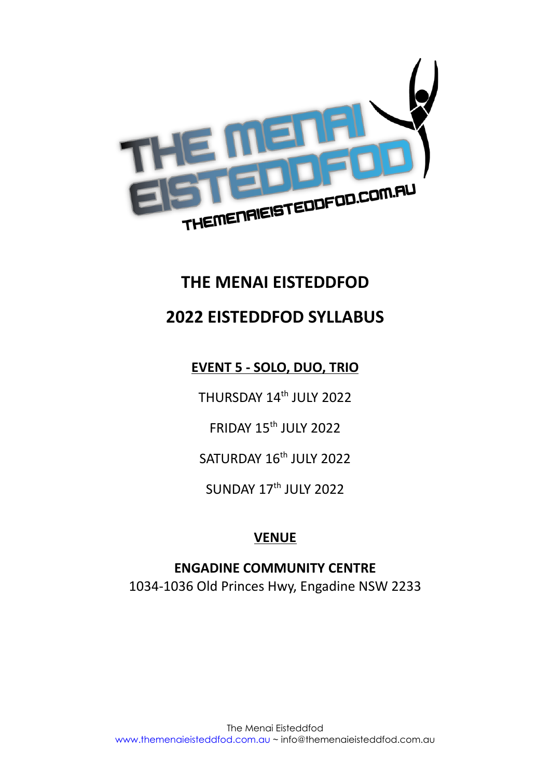

# **THE MENAI EISTEDDFOD**

# **2022 EISTEDDFOD SYLLABUS**

# **EVENT 5 - SOLO, DUO, TRIO**

THURSDAY 14<sup>th</sup> JULY 2022

FRIDAY 15<sup>th</sup> JULY 2022

SATURDAY 16<sup>th</sup> JULY 2022

 $SUNDAY 17<sup>th</sup> JUIY 2022$ 

# **VENUE**

**ENGADINE COMMUNITY CENTRE** 1034-1036 Old Princes Hwy, Engadine NSW 2233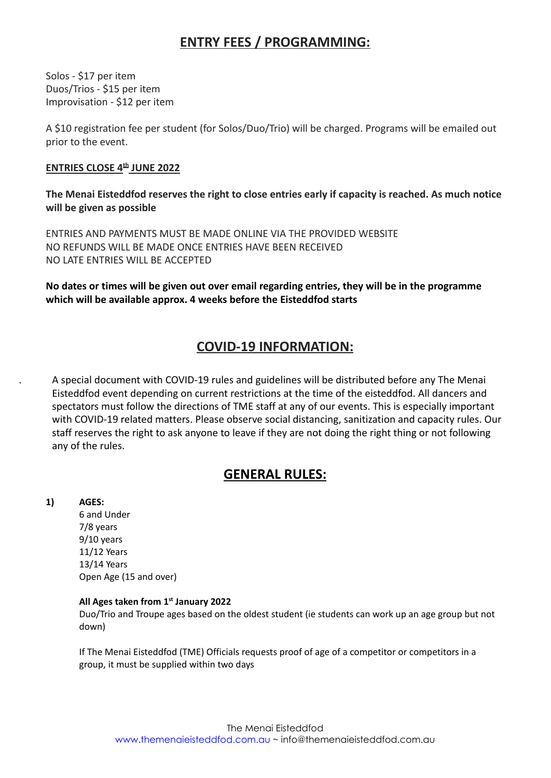# **ENTRY FEES / PROGRAMMING:**

Solos - \$17 per item Duos/Trios - \$15 per item Improvisation - \$12 per item

A \$10 registration fee per student (for Solos/Duo/Trio) will be charged. Programs will be emailed out prior to the event.

## **ENTRIES CLOSE 4th JUNE 2022**

**The Menai Eisteddfod reserves the right to close entries early if capacity is reached. As much notice will be given as possible**

ENTRIES AND PAYMENTS MUST BE MADE ONLINE VIA THE PROVIDED WEBSITE NO REFUNDS WILL BE MADE ONCE ENTRIES HAVE BEEN RECEIVED NO LATE ENTRIES WILL BE ACCEPTED

**No dates or times will be given out over email regarding entries, they will be in the programme which will be available approx. 4 weeks before the Eisteddfod starts**

# **COVID-19 INFORMATION:**

. A special document with COVID-19 rules and guidelines will be distributed before any The Menai Eisteddfod event depending on current restrictions at the time of the eisteddfod. All dancers and spectators must follow the directions of TME staff at any of our events. This is especially important with COVID-19 related matters. Please observe social distancing, sanitization and capacity rules. Our staff reserves the right to ask anyone to leave if they are not doing the right thing or not following any of the rules.

# **GENERAL RULES:**

**1) AGES:**

6 and Under 7/8 years 9/10 years 11/12 Years 13/14 Years Open Age (15 and over)

### **All Ages taken from 1 st January 2022**

Duo/Trio and Troupe ages based on the oldest student (ie students can work up an age group but not down)

If The Menai Eisteddfod (TME) Officials requests proof of age of a competitor or competitors in a group, it must be supplied within two days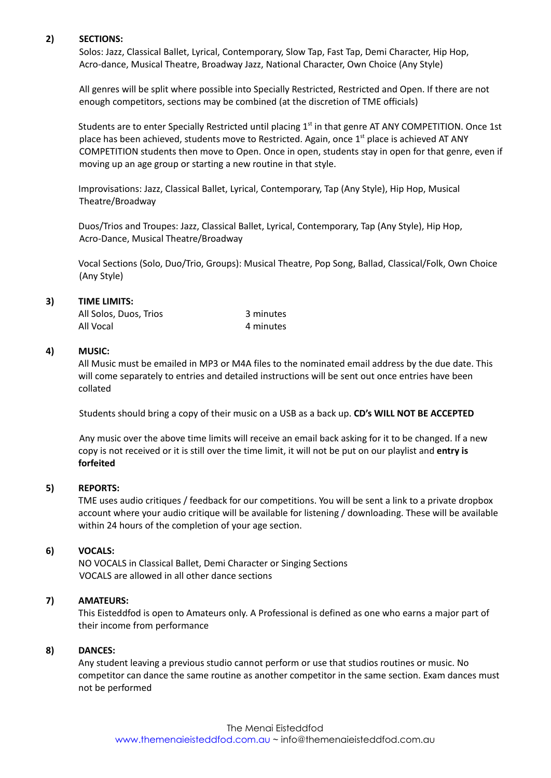#### **2) SECTIONS:**

Solos: Jazz, Classical Ballet, Lyrical, Contemporary, Slow Tap, Fast Tap, Demi Character, Hip Hop, Acro-dance, Musical Theatre, Broadway Jazz, National Character, Own Choice (Any Style)

All genres will be split where possible into Specially Restricted, Restricted and Open. If there are not enough competitors, sections may be combined (at the discretion of TME officials)

Students are to enter Specially Restricted until placing 1<sup>st</sup> in that genre AT ANY COMPETITION. Once 1st place has been achieved, students move to Restricted. Again, once 1<sup>st</sup> place is achieved AT ANY COMPETITION students then move to Open. Once in open, students stay in open for that genre, even if moving up an age group or starting a new routine in that style.

Improvisations: Jazz, Classical Ballet, Lyrical, Contemporary, Tap (Any Style), Hip Hop, Musical Theatre/Broadway

Duos/Trios and Troupes: Jazz, Classical Ballet, Lyrical, Contemporary, Tap (Any Style), Hip Hop, Acro-Dance, Musical Theatre/Broadway

Vocal Sections (Solo, Duo/Trio, Groups): Musical Theatre, Pop Song, Ballad, Classical/Folk, Own Choice (Any Style)

#### **3) TIME LIMITS:**

| All Solos, Duos, Trios | 3 minutes |
|------------------------|-----------|
| All Vocal              | 4 minutes |

### **4) MUSIC:**

All Music must be emailed in MP3 or M4A files to the nominated email address by the due date. This will come separately to entries and detailed instructions will be sent out once entries have been collated

Students should bring a copy of their music on a USB as a back up. **CD's WILL NOT BE ACCEPTED**

Any music over the above time limits will receive an email back asking for it to be changed. If a new copy is not received or it is still over the time limit, it will not be put on our playlist and **entry is forfeited**

#### **5) REPORTS:**

TME uses audio critiques / feedback for our competitions. You will be sent a link to a private dropbox account where your audio critique will be available for listening / downloading. These will be available within 24 hours of the completion of your age section.

#### **6) VOCALS:**

NO VOCALS in Classical Ballet, Demi Character or Singing Sections VOCALS are allowed in all other dance sections

### **7) AMATEURS:**

This Eisteddfod is open to Amateurs only. A Professional is defined as one who earns a major part of their income from performance

#### **8) DANCES:**

Any student leaving a previous studio cannot perform or use that studios routines or music. No competitor can dance the same routine as another competitor in the same section. Exam dances must not be performed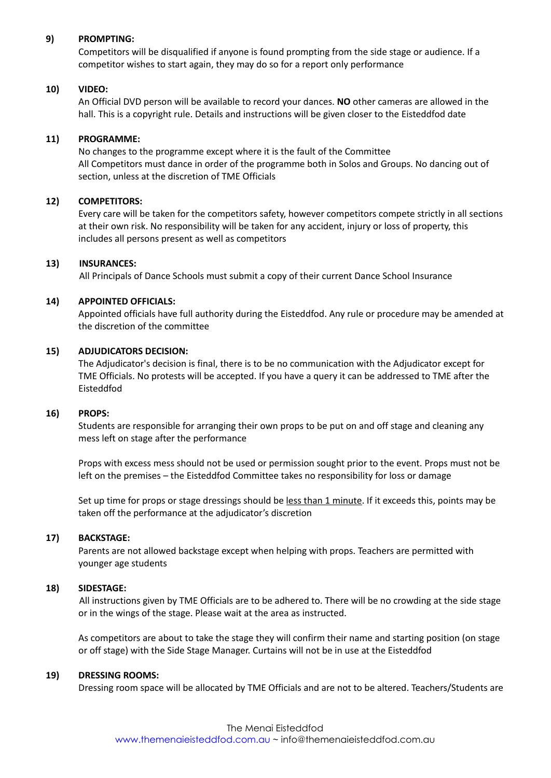#### **9) PROMPTING:**

Competitors will be disqualified if anyone is found prompting from the side stage or audience. If a competitor wishes to start again, they may do so for a report only performance

#### **10) VIDEO:**

An Official DVD person will be available to record your dances. **NO** other cameras are allowed in the hall. This is a copyright rule. Details and instructions will be given closer to the Eisteddfod date

#### **11) PROGRAMME:**

No changes to the programme except where it is the fault of the Committee All Competitors must dance in order of the programme both in Solos and Groups. No dancing out of section, unless at the discretion of TME Officials

#### **12) COMPETITORS:**

Every care will be taken for the competitors safety, however competitors compete strictly in all sections at their own risk. No responsibility will be taken for any accident, injury or loss of property, this includes all persons present as well as competitors

#### **13) INSURANCES:**

All Principals of Dance Schools must submit a copy of their current Dance School Insurance

#### **14) APPOINTED OFFICIALS:**

Appointed officials have full authority during the Eisteddfod. Any rule or procedure may be amended at the discretion of the committee

#### **15) ADJUDICATORS DECISION:**

The Adjudicator's decision is final, there is to be no communication with the Adjudicator except for TME Officials. No protests will be accepted. If you have a query it can be addressed to TME after the Eisteddfod

#### **16) PROPS:**

Students are responsible for arranging their own props to be put on and off stage and cleaning any mess left on stage after the performance

Props with excess mess should not be used or permission sought prior to the event. Props must not be left on the premises – the Eisteddfod Committee takes no responsibility for loss or damage

Set up time for props or stage dressings should be less than 1 minute. If it exceeds this, points may be taken off the performance at the adjudicator's discretion

#### **17) BACKSTAGE:**

Parents are not allowed backstage except when helping with props. Teachers are permitted with younger age students

#### **18) SIDESTAGE:**

All instructions given by TME Officials are to be adhered to. There will be no crowding at the side stage or in the wings of the stage. Please wait at the area as instructed.

As competitors are about to take the stage they will confirm their name and starting position (on stage or off stage) with the Side Stage Manager. Curtains will not be in use at the Eisteddfod

#### **19) DRESSING ROOMS:**

Dressing room space will be allocated by TME Officials and are not to be altered. Teachers/Students are